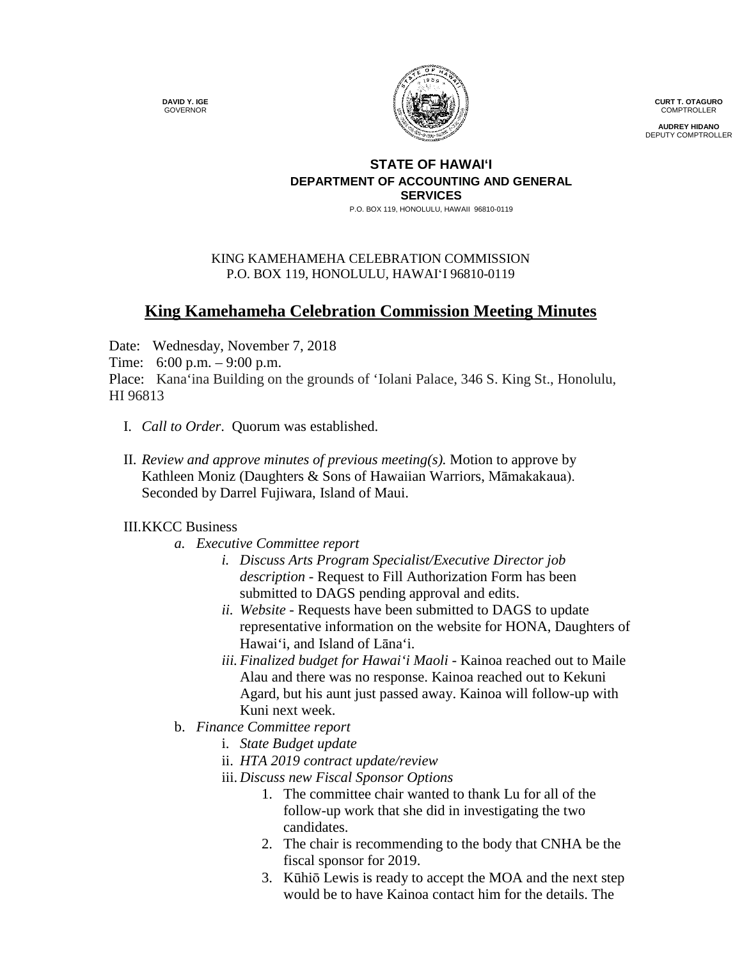**DAVID Y. IGE** GOVERNOR



**CURT T. OTAGURO** COMPTROLLER

**AUDREY HIDANO** DEPUTY COMPTROLLER

## **STATE OF HAWAI'I DEPARTMENT OF ACCOUNTING AND GENERAL SERVICES**

P.O. BOX 119, HONOLULU, HAWAII 96810-0119

## KING KAMEHAMEHA CELEBRATION COMMISSION P.O. BOX 119, HONOLULU, HAWAIʻI 96810-0119

## **King Kamehameha Celebration Commission Meeting Minutes**

Date: Wednesday, November 7, 2018

Time: 6:00 p.m. – 9:00 p.m.

Place: Kana'ina Building on the grounds of 'Iolani Palace, 346 S. King St., Honolulu, HI 96813

- I. *Call to Order*. Quorum was established.
- II. *Review and approve minutes of previous meeting(s).* Motion to approve by Kathleen Moniz (Daughters & Sons of Hawaiian Warriors, Māmakakaua). Seconded by Darrel Fujiwara, Island of Maui.

## III.KKCC Business

- *a. Executive Committee report*
	- *i. Discuss Arts Program Specialist/Executive Director job description -* Request to Fill Authorization Form has been submitted to DAGS pending approval and edits.
	- *ii. Website -* Requests have been submitted to DAGS to update representative information on the website for HONA, Daughters of Hawai'i, and Island of Lāna'i.
	- *iii. Finalized budget for Hawai'i Maoli -* Kainoa reached out to Maile Alau and there was no response. Kainoa reached out to Kekuni Agard, but his aunt just passed away. Kainoa will follow-up with Kuni next week.
- b. *Finance Committee report*
	- i. *State Budget update*
	- ii. *HTA 2019 contract update/review*
	- iii. *Discuss new Fiscal Sponsor Options*
		- 1. The committee chair wanted to thank Lu for all of the follow-up work that she did in investigating the two candidates.
		- 2. The chair is recommending to the body that CNHA be the fiscal sponsor for 2019.
		- 3. Kūhiō Lewis is ready to accept the MOA and the next step would be to have Kainoa contact him for the details. The